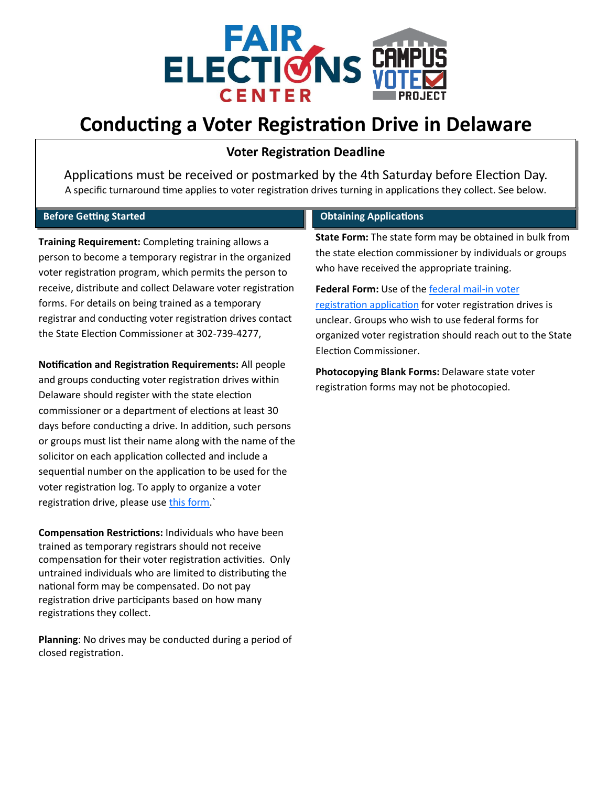

# **Conducting a Voter Registration Drive in Delaware**

## **Voter Registration Deadline**

Applications must be received or postmarked by the 4th Saturday before Election Day. A specific turnaround time applies to voter registration drives turning in applications they collect. See below.

## **Before Getting Started**

**Training Requirement:** Completing training allows a person to become a temporary registrar in the organized voter registration program, which permits the person to receive, distribute and collect Delaware voter registration forms. For details on being trained as a temporary registrar and conducting voter registration drives contact the State Election Commissioner at 302-739-4277,

**Notification and Registration Requirements:** All people and groups conducting voter registration drives within Delaware should register with the state election commissioner or a department of elections at least 30 days before conducting a drive. In addition, such persons or groups must list their name along with the name of the solicitor on each application collected and include a sequential number on the application to be used for the voter registration log. To apply to organize a voter registration drive, please use this form.

**Compensation Restrictions:** Individuals who have been trained as temporary registrars should not receive compensation for their voter registration activities. Only untrained individuals who are limited to distributing the national form may be compensated. Do not pay registration drive participants based on how many registrations they collect.

**Planning**: No drives may be conducted during a period of closed registration.

## **Obtaining Applications**

**State Form:** The state form may be obtained in bulk from the state election commissioner by individuals or groups who have received the appropriate training.

Federal Form: Use of the **federal mail-in voter** [registration application](https://www.eac.gov/voters/national-mail-voter-registration-form/) for voter registration drives is unclear. Groups who wish to use federal forms for organized voter registration should reach out to the State Election Commissioner.

**Photocopying Blank Forms:** Delaware state voter registration forms may not be photocopied.